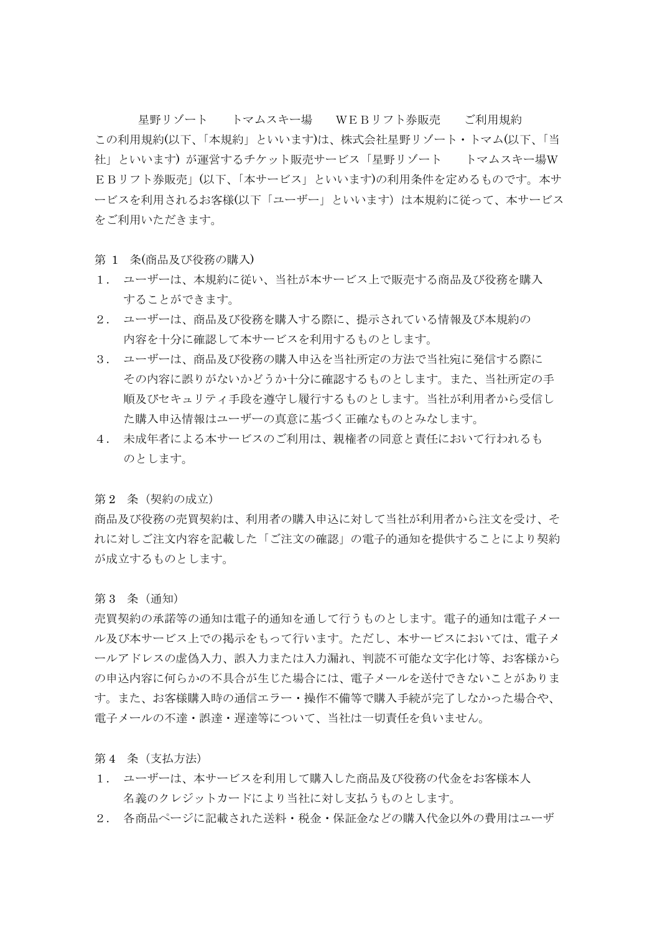星野リゾート トマムスキー場 WEBリフト券販売 ご利用規約 この利用規約(以下、「本規約」といいます)は、株式会社星野リゾート・トマム(以下、「当 社」といいます) が運営するチケット販売サービス「星野リゾート トマムスキー場W EBリフト券販売」(以下、「本サービス」といいます)の利用条件を定めるものです。本サ ービスを利用されるお客様(以下「ユーザー」といいます)は本規約に従って、本サービス をご利用いただきます。

第 1 条(商品及び役務の購入)

- 1. ユーザーは、本規約に従い、当社が本サービス上で販売する商品及び役務を購入 することができます。
- 2. ユーザーは、商品及び役務を購入する際に、提示されている情報及び本規約の 内容を十分に確認して本サービスを利用するものとします。
- 3. ユーザーは、商品及び役務の購入申込を当社所定の方法で当社宛に発信する際に その内容に誤りがないかどうか十分に確認するものとします。また、当社所定の手 順及びセキュリティ手段を遵守し履行するものとします。当社が利用者から受信し た購入申込情報はユーザーの真意に基づく正確なものとみなします。
- 4. 未成年者による本サービスのご利用は、親権者の同意と責任において行われるも のとします。

第2 条 (契約の成立)

商品及び役務の売買契約は、利用者の購入申込に対して当社が利用者から注文を受け、そ れに対しご注文内容を記載した「ご注文の確認」の電子的通知を提供することにより契約 が成立するものとします。

第 3 条(通知)

売買契約の承諾等の通知は電子的通知を通して行うものとします。電子的通知は電子メー ル及び本サービス上での掲示をもって行います。ただし、本サービスにおいては、電子メ ールアドレスの虚偽入力、誤入力または入力漏れ、判読不可能な文字化け等、お客様から の申込内容に何らかの不具合が生じた場合には、電子メールを送付できないことがありま す。また、お客様購入時の通信エラー・操作不備等で購入手続が完了しなかった場合や、 電子メールの不達・誤達・遅達等について、当社は一切責任を負いません。

第 4 条 (支払方法)

- 1. ユーザーは、本サービスを利用して購入した商品及び役務の代金をお客様本人 名義のクレジットカードにより当社に対し支払うものとします。
- 2. 各商品ページに記載された送料・税金・保証金などの購入代金以外の費用はユーザ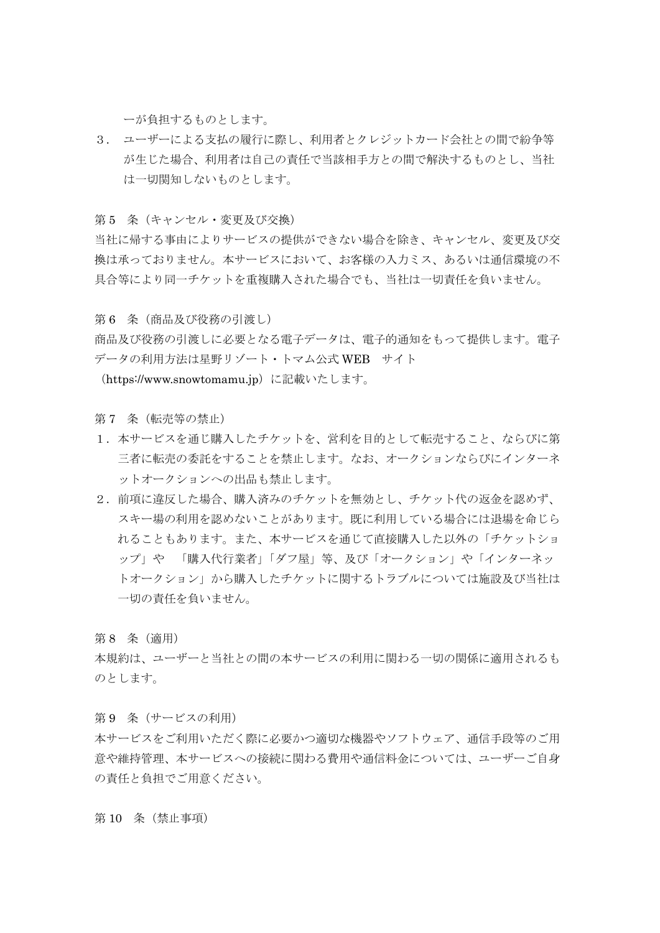ーが負担するものとします。

3. ユーザーによる支払の履行に際し、利用者とクレジットカード会社との間で紛争等 が生じた場合、利用者は自己の責任で当該相手方との間で解決するものとし、当社 は一切関知しないものとします。

第5 条 (キャンセル・変更及び交換)

当社に帰する事由によりサービスの提供ができない場合を除き、キャンセル、変更及び交 換は承っておりません。本サービスにおいて、お客様の入力ミス、あるいは通信環境の不 具合等により同一チケットを重複購入された場合でも、当社は一切責任を負いません。

第 6 条(商品及び役務の引渡し)

商品及び役務の引渡しに必要となる電子データは、電子的通知をもって提供します。電子 データの利用方法は星野リゾート・トマム公式 WEB サイト

(https://www.snowtomamu.jp)に記載いたします。

第7 条 (転売等の禁止)

- 1.本サービスを通じ購入したチケットを、営利を目的として転売すること、ならびに第 三者に転売の委託をすることを禁止します。なお、オークションならびにインターネ ットオークションへの出品も禁止します。
- 2.前項に違反した場合、購入済みのチケットを無効とし、チケット代の返金を認めず、 スキー場の利用を認めないことがあります。既に利用している場合には退場を命じら れることもあります。また、本サービスを通じて直接購入した以外の「チケットショ ップ」や 「購入代行業者」「ダフ屋」等、及び「オークション」や「インターネッ トオークション」から購入したチケットに関するトラブルについては施設及び当社は 一切の責任を負いません。

第 8 条(適用)

本規約は、ユーザーと当社との間の本サービスの利用に関わる一切の関係に適用されるも のとします。

第9 条 (サービスの利用) 本サービスをご利用いただく際に必要かつ適切な機器やソフトウェア、通信手段等のご用 意や維持管理、本サービスへの接続に関わる費用や通信料金については、ユーザーご自身

第 10 条(禁止事項)

の責任と負担でご用意ください。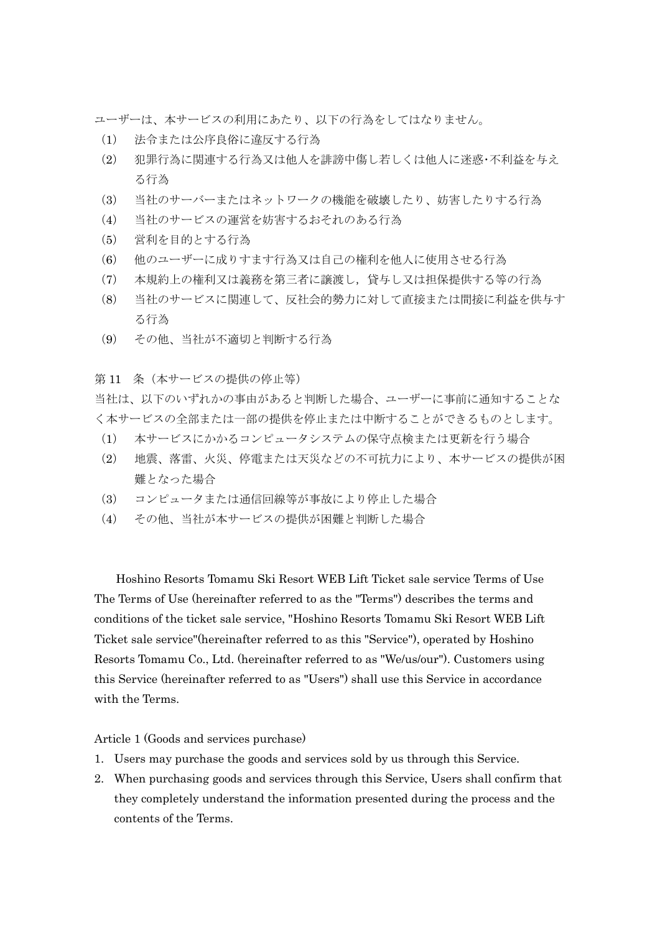ユーザーは、本サービスの利用にあたり、以下の行為をしてはなりません。

- (1) 法令または公序良俗に違反する行為
- (2) 犯罪行為に関連する行為又は他人を誹謗中傷し若しくは他人に迷惑・不利益を与え る行為
- (3) 当社のサーバーまたはネットワークの機能を破壊したり、妨害したりする行為
- (4) 当社のサービスの運営を妨害するおそれのある行為
- (5) 営利を目的とする行為
- (6) 他のユーザーに成りすます行為又は自己の権利を他人に使用させる行為
- (7) 本規約上の権利又は義務を第三者に譲渡し,貸与し又は担保提供する等の行為
- (8) 当社のサービスに関連して、反社会的勢力に対して直接または間接に利益を供与す る行為
- (9) その他、当社が不適切と判断する行為

第 11 条(本サービスの提供の停止等)

当社は、以下のいずれかの事由があると判断した場合、ユーザーに事前に通知することな く本サービスの全部または一部の提供を停止または中断することができるものとします。

- (1) 本サービスにかかるコンピュータシステムの保守点検または更新を行う場合
- (2) 地震、落雷、火災、停電または天災などの不可抗力により、本サービスの提供が困 難となった場合
- (3) コンピュータまたは通信回線等が事故により停止した場合
- (4) その他、当社が本サービスの提供が困難と判断した場合

Hoshino Resorts Tomamu Ski Resort WEB Lift Ticket sale service Terms of Use The Terms of Use (hereinafter referred to as the "Terms") describes the terms and conditions of the ticket sale service, "Hoshino Resorts Tomamu Ski Resort WEB Lift Ticket sale service"(hereinafter referred to as this "Service"), operated by Hoshino Resorts Tomamu Co., Ltd. (hereinafter referred to as "We/us/our"). Customers using this Service (hereinafter referred to as "Users") shall use this Service in accordance with the Terms.

Article 1 (Goods and services purchase)

- 1. Users may purchase the goods and services sold by us through this Service.
- 2. When purchasing goods and services through this Service, Users shall confirm that they completely understand the information presented during the process and the contents of the Terms.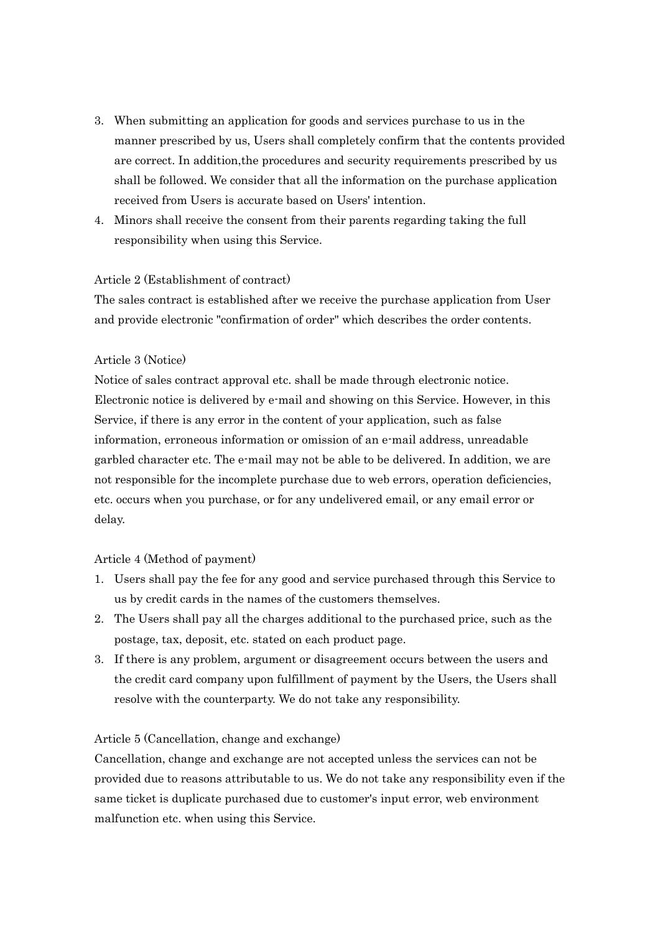- 3. When submitting an application for goods and services purchase to us in the manner prescribed by us, Users shall completely confirm that the contents provided are correct. In addition,the procedures and security requirements prescribed by us shall be followed. We consider that all the information on the purchase application received from Users is accurate based on Users' intention.
- 4. Minors shall receive the consent from their parents regarding taking the full responsibility when using this Service.

# Article 2 (Establishment of contract)

The sales contract is established after we receive the purchase application from User and provide electronic "confirmation of order" which describes the order contents.

# Article 3 (Notice)

Notice of sales contract approval etc. shall be made through electronic notice. Electronic notice is delivered by e-mail and showing on this Service. However, in this Service, if there is any error in the content of your application, such as false information, erroneous information or omission of an e-mail address, unreadable garbled character etc. The e-mail may not be able to be delivered. In addition, we are not responsible for the incomplete purchase due to web errors, operation deficiencies, etc. occurs when you purchase, or for any undelivered email, or any email error or delay.

## Article 4 (Method of payment)

- 1. Users shall pay the fee for any good and service purchased through this Service to us by credit cards in the names of the customers themselves.
- 2. The Users shall pay all the charges additional to the purchased price, such as the postage, tax, deposit, etc. stated on each product page.
- 3. If there is any problem, argument or disagreement occurs between the users and the credit card company upon fulfillment of payment by the Users, the Users shall resolve with the counterparty. We do not take any responsibility.

## Article 5 (Cancellation, change and exchange)

Cancellation, change and exchange are not accepted unless the services can not be provided due to reasons attributable to us. We do not take any responsibility even if the same ticket is duplicate purchased due to customer's input error, web environment malfunction etc. when using this Service.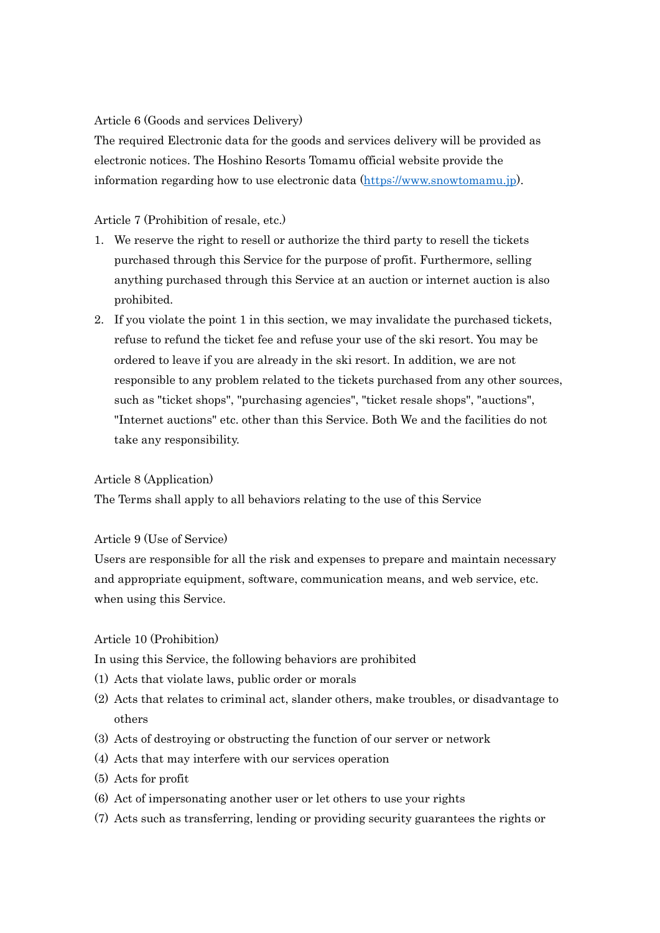## Article 6 (Goods and services Delivery)

The required Electronic data for the goods and services delivery will be provided as electronic notices. The Hoshino Resorts Tomamu official website provide the information regarding how to use electronic data [\(https://www.snowtomamu.jp\)](https://www.snowtomamu.jp/).

# Article 7 (Prohibition of resale, etc.)

- 1. We reserve the right to resell or authorize the third party to resell the tickets purchased through this Service for the purpose of profit. Furthermore, selling anything purchased through this Service at an auction or internet auction is also prohibited.
- 2. If you violate the point 1 in this section, we may invalidate the purchased tickets, refuse to refund the ticket fee and refuse your use of the ski resort. You may be ordered to leave if you are already in the ski resort. In addition, we are not responsible to any problem related to the tickets purchased from any other sources, such as "ticket shops", "purchasing agencies", "ticket resale shops", "auctions", "Internet auctions" etc. other than this Service. Both We and the facilities do not take any responsibility.

# Article 8 (Application)

The Terms shall apply to all behaviors relating to the use of this Service

## Article 9 (Use of Service)

Users are responsible for all the risk and expenses to prepare and maintain necessary and appropriate equipment, software, communication means, and web service, etc. when using this Service.

## Article 10 (Prohibition)

In using this Service, the following behaviors are prohibited

- (1) Acts that violate laws, public order or morals
- (2) Acts that relates to criminal act, slander others, make troubles, or disadvantage to others
- (3) Acts of destroying or obstructing the function of our server or network
- (4) Acts that may interfere with our services operation
- (5) Acts for profit
- (6) Act of impersonating another user or let others to use your rights
- (7) Acts such as transferring, lending or providing security guarantees the rights or